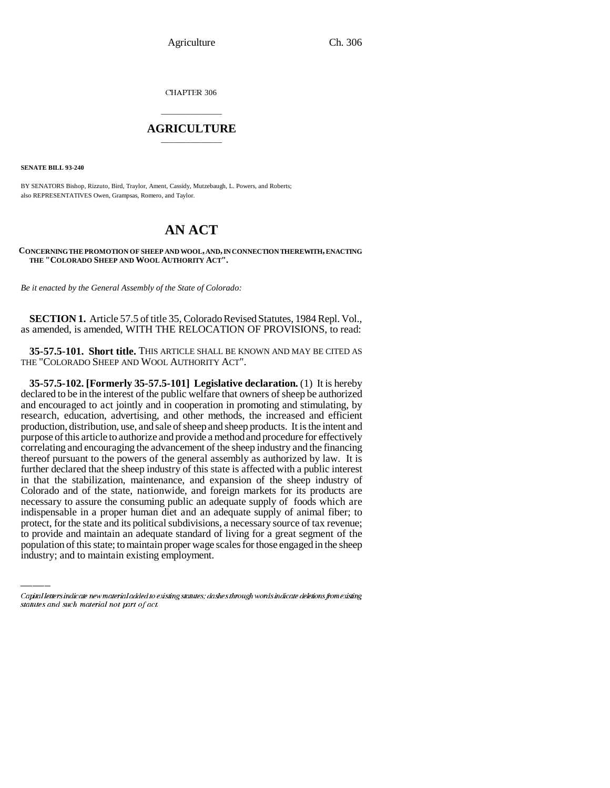CHAPTER 306

## \_\_\_\_\_\_\_\_\_\_\_\_\_\_\_ **AGRICULTURE** \_\_\_\_\_\_\_\_\_\_\_\_\_\_\_

**SENATE BILL 93-240**

BY SENATORS Bishop, Rizzuto, Bird, Traylor, Ament, Cassidy, Mutzebaugh, L. Powers, and Roberts; also REPRESENTATIVES Owen, Grampsas, Romero, and Taylor.

# **AN ACT**

#### **CONCERNING THE PROMOTION OF SHEEP AND WOOL, AND, IN CONNECTION THEREWITH, ENACTING THE "COLORADO SHEEP AND WOOL AUTHORITY ACT".**

*Be it enacted by the General Assembly of the State of Colorado:*

**SECTION 1.** Article 57.5 of title 35, Colorado Revised Statutes, 1984 Repl. Vol., as amended, is amended, WITH THE RELOCATION OF PROVISIONS, to read:

**35-57.5-101. Short title.** THIS ARTICLE SHALL BE KNOWN AND MAY BE CITED AS THE "COLORADO SHEEP AND WOOL AUTHORITY ACT".

indispensable in a proper human diet and an adequate supply of animal fiber; to **35-57.5-102. [Formerly 35-57.5-101] Legislative declaration.** (1) It is hereby declared to be in the interest of the public welfare that owners of sheep be authorized and encouraged to act jointly and in cooperation in promoting and stimulating, by research, education, advertising, and other methods, the increased and efficient production, distribution, use, and sale of sheep and sheep products. It is the intent and purpose of this article to authorize and provide a method and procedure for effectively correlating and encouraging the advancement of the sheep industry and the financing thereof pursuant to the powers of the general assembly as authorized by law. It is further declared that the sheep industry of this state is affected with a public interest in that the stabilization, maintenance, and expansion of the sheep industry of Colorado and of the state, nationwide, and foreign markets for its products are necessary to assure the consuming public an adequate supply of foods which are protect, for the state and its political subdivisions, a necessary source of tax revenue; to provide and maintain an adequate standard of living for a great segment of the population of this state; to maintain proper wage scales for those engaged in the sheep industry; and to maintain existing employment.

Capital letters indicate new material added to existing statutes; dashes through words indicate deletions from existing statutes and such material not part of act.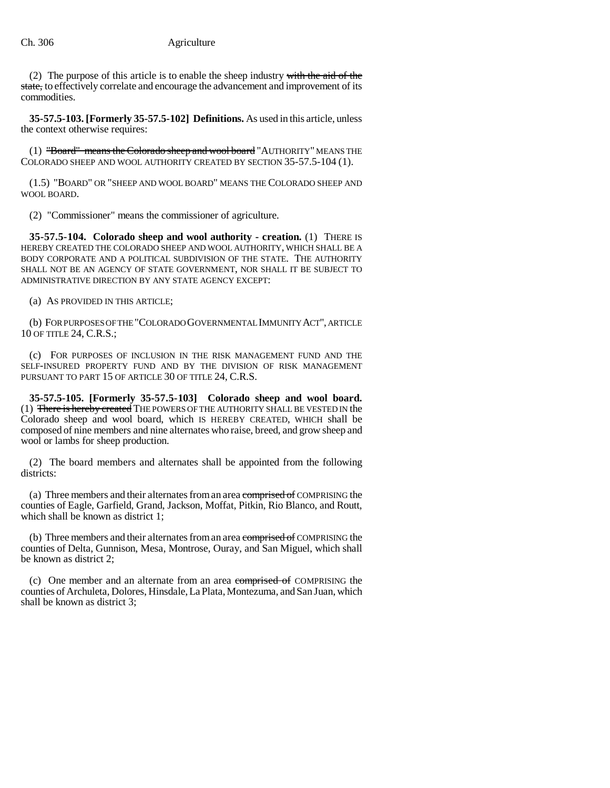(2) The purpose of this article is to enable the sheep industry with the aid of the state, to effectively correlate and encourage the advancement and improvement of its commodities.

**35-57.5-103. [Formerly 35-57.5-102] Definitions.** As used in this article, unless the context otherwise requires:

(1) "Board" means the Colorado sheep and wool board "AUTHORITY" MEANS THE COLORADO SHEEP AND WOOL AUTHORITY CREATED BY SECTION 35-57.5-104 (1).

(1.5) "BOARD" OR "SHEEP AND WOOL BOARD" MEANS THE COLORADO SHEEP AND WOOL BOARD.

(2) "Commissioner" means the commissioner of agriculture.

**35-57.5-104. Colorado sheep and wool authority - creation.** (1) THERE IS HEREBY CREATED THE COLORADO SHEEP AND WOOL AUTHORITY, WHICH SHALL BE A BODY CORPORATE AND A POLITICAL SUBDIVISION OF THE STATE. THE AUTHORITY SHALL NOT BE AN AGENCY OF STATE GOVERNMENT, NOR SHALL IT BE SUBJECT TO ADMINISTRATIVE DIRECTION BY ANY STATE AGENCY EXCEPT:

(a) AS PROVIDED IN THIS ARTICLE;

(b) FOR PURPOSES OF THE "COLORADO GOVERNMENTAL IMMUNITY ACT", ARTICLE 10 OF TITLE 24, C.R.S.;

(c) FOR PURPOSES OF INCLUSION IN THE RISK MANAGEMENT FUND AND THE SELF-INSURED PROPERTY FUND AND BY THE DIVISION OF RISK MANAGEMENT PURSUANT TO PART 15 OF ARTICLE 30 OF TITLE 24, C.R.S.

**35-57.5-105. [Formerly 35-57.5-103] Colorado sheep and wool board.** (1) There is hereby created THE POWERS OF THE AUTHORITY SHALL BE VESTED IN the Colorado sheep and wool board, which IS HEREBY CREATED, WHICH shall be composed of nine members and nine alternates who raise, breed, and grow sheep and wool or lambs for sheep production.

(2) The board members and alternates shall be appointed from the following districts:

(a) Three members and their alternates from an area comprised of COMPRISING the counties of Eagle, Garfield, Grand, Jackson, Moffat, Pitkin, Rio Blanco, and Routt, which shall be known as district 1:

(b) Three members and their alternates from an area comprised of COMPRISING the counties of Delta, Gunnison, Mesa, Montrose, Ouray, and San Miguel, which shall be known as district 2;

(c) One member and an alternate from an area comprised of COMPRISING the counties of Archuleta, Dolores, Hinsdale, La Plata, Montezuma, and San Juan, which shall be known as district 3;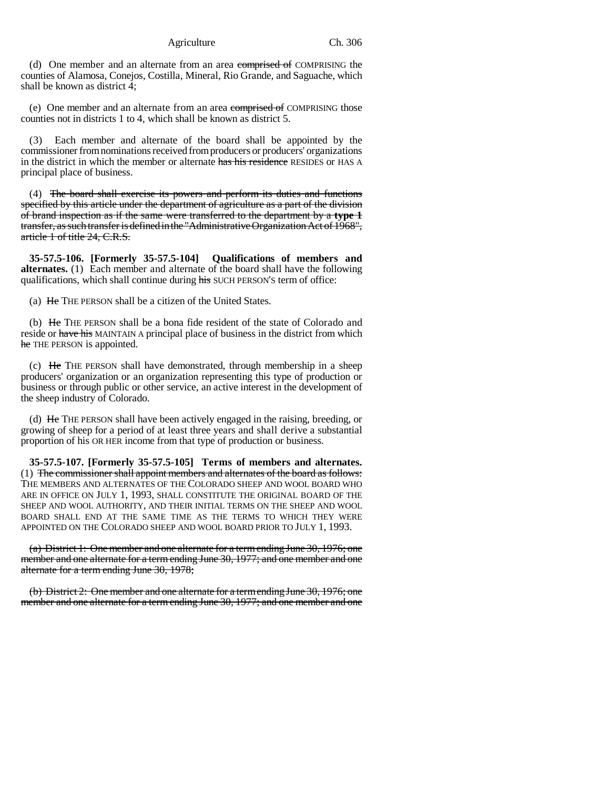Agriculture Ch. 306

(d) One member and an alternate from an area comprised of COMPRISING the counties of Alamosa, Conejos, Costilla, Mineral, Rio Grande, and Saguache, which shall be known as district 4;

(e) One member and an alternate from an area comprised of COMPRISING those counties not in districts 1 to 4, which shall be known as district 5.

(3) Each member and alternate of the board shall be appointed by the commissioner from nominations received from producers or producers' organizations in the district in which the member or alternate has his residence RESIDES or HAS A principal place of business.

(4) The board shall exercise its powers and perform its duties and functions specified by this article under the department of agriculture as a part of the division of brand inspection as if the same were transferred to the department by a **type 1** transfer, as such transfer is defined in the "Administrative Organization Act of 1968", article 1 of title 24, C.R.S.

**35-57.5-106. [Formerly 35-57.5-104] Qualifications of members and alternates.** (1) Each member and alternate of the board shall have the following qualifications, which shall continue during his SUCH PERSON'S term of office:

(a) He THE PERSON shall be a citizen of the United States.

(b) He THE PERSON shall be a bona fide resident of the state of Colorado and reside or have his MAINTAIN A principal place of business in the district from which he THE PERSON is appointed.

(c) He THE PERSON shall have demonstrated, through membership in a sheep producers' organization or an organization representing this type of production or business or through public or other service, an active interest in the development of the sheep industry of Colorado.

(d) He THE PERSON shall have been actively engaged in the raising, breeding, or growing of sheep for a period of at least three years and shall derive a substantial proportion of his OR HER income from that type of production or business.

**35-57.5-107. [Formerly 35-57.5-105] Terms of members and alternates.** (1) The commissioner shall appoint members and alternates of the board as follows: THE MEMBERS AND ALTERNATES OF THE COLORADO SHEEP AND WOOL BOARD WHO ARE IN OFFICE ON JULY 1, 1993, SHALL CONSTITUTE THE ORIGINAL BOARD OF THE SHEEP AND WOOL AUTHORITY, AND THEIR INITIAL TERMS ON THE SHEEP AND WOOL BOARD SHALL END AT THE SAME TIME AS THE TERMS TO WHICH THEY WERE APPOINTED ON THE COLORADO SHEEP AND WOOL BOARD PRIOR TO JULY 1, 1993.

(a) District 1: One member and one alternate for a term ending June 30, 1976; one member and one alternate for a term ending June 30, 1977; and one member and one alternate for a term ending June 30, 1978;

(b) District 2: One member and one alternate for a term ending June 30, 1976; one member and one alternate for a term ending June 30, 1977; and one member and one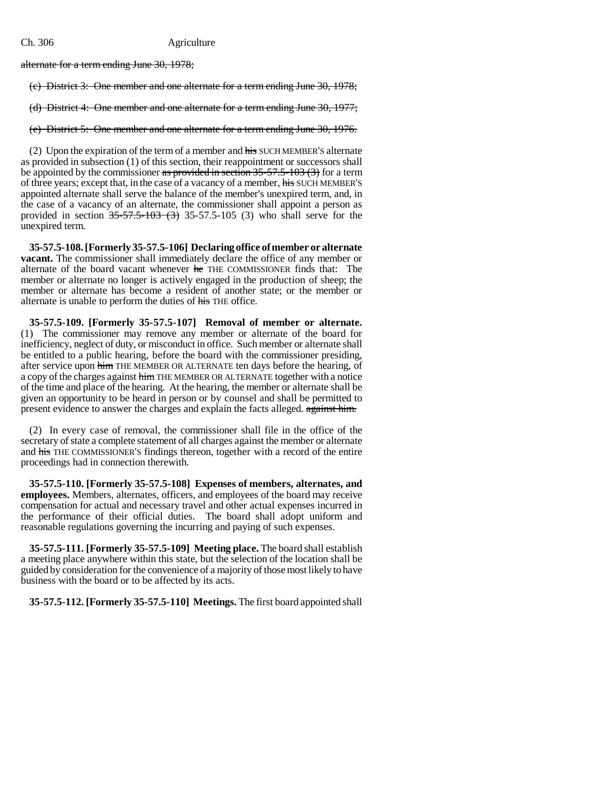alternate for a term ending June 30, 1978;

(c) District 3: One member and one alternate for a term ending June 30, 1978;

(d) District 4: One member and one alternate for a term ending June 30, 1977;

(e) District 5: One member and one alternate for a term ending June 30, 1976.

(2) Upon the expiration of the term of a member and  $\frac{h}{h}$  SUCH MEMBER's alternate as provided in subsection (1) of this section, their reappointment or successors shall be appointed by the commissioner as provided in section  $35-57.5-103(3)$  for a term of three years; except that, in the case of a vacancy of a member, his SUCH MEMBER'S appointed alternate shall serve the balance of the member's unexpired term, and, in the case of a vacancy of an alternate, the commissioner shall appoint a person as provided in section  $35-57.5-103$  (3) 35-57.5-105 (3) who shall serve for the unexpired term.

**35-57.5-108. [Formerly 35-57.5-106] Declaring office of member or alternate vacant.** The commissioner shall immediately declare the office of any member or alternate of the board vacant whenever he THE COMMISSIONER finds that: The member or alternate no longer is actively engaged in the production of sheep; the member or alternate has become a resident of another state; or the member or alternate is unable to perform the duties of his THE office.

**35-57.5-109. [Formerly 35-57.5-107] Removal of member or alternate.** (1) The commissioner may remove any member or alternate of the board for inefficiency, neglect of duty, or misconduct in office. Such member or alternate shall be entitled to a public hearing, before the board with the commissioner presiding, after service upon him THE MEMBER OR ALTERNATE ten days before the hearing, of a copy of the charges against him THE MEMBER OR ALTERNATE together with a notice of the time and place of the hearing. At the hearing, the member or alternate shall be given an opportunity to be heard in person or by counsel and shall be permitted to present evidence to answer the charges and explain the facts alleged. against him.

(2) In every case of removal, the commissioner shall file in the office of the secretary of state a complete statement of all charges against the member or alternate and his THE COMMISSIONER'S findings thereon, together with a record of the entire proceedings had in connection therewith.

**35-57.5-110. [Formerly 35-57.5-108] Expenses of members, alternates, and employees.** Members, alternates, officers, and employees of the board may receive compensation for actual and necessary travel and other actual expenses incurred in the performance of their official duties. The board shall adopt uniform and reasonable regulations governing the incurring and paying of such expenses.

**35-57.5-111. [Formerly 35-57.5-109] Meeting place.** The board shall establish a meeting place anywhere within this state, but the selection of the location shall be guided by consideration for the convenience of a majority of those most likely to have business with the board or to be affected by its acts.

**35-57.5-112. [Formerly 35-57.5-110] Meetings.** The first board appointed shall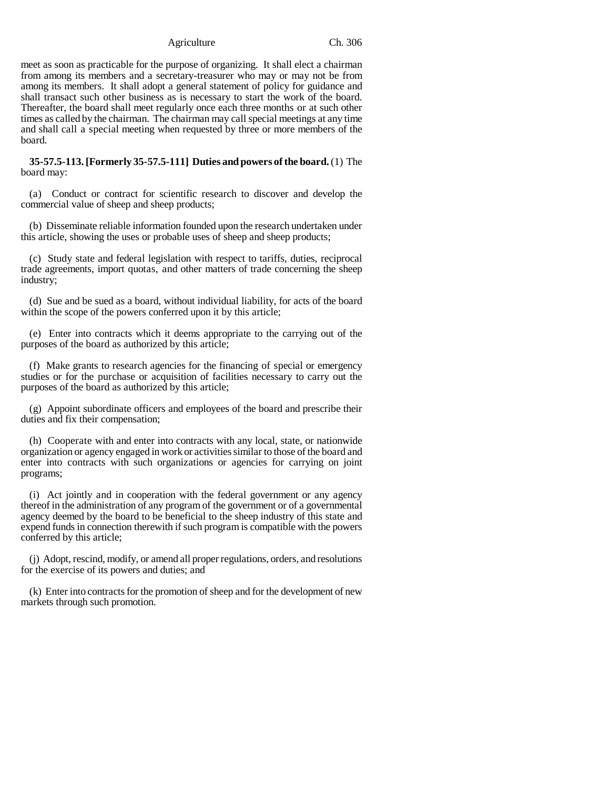Agriculture Ch. 306

meet as soon as practicable for the purpose of organizing. It shall elect a chairman from among its members and a secretary-treasurer who may or may not be from among its members. It shall adopt a general statement of policy for guidance and shall transact such other business as is necessary to start the work of the board. Thereafter, the board shall meet regularly once each three months or at such other times as called by the chairman. The chairman may call special meetings at any time and shall call a special meeting when requested by three or more members of the board.

**35-57.5-113. [Formerly 35-57.5-111] Duties and powers of the board.** (1) The board may:

(a) Conduct or contract for scientific research to discover and develop the commercial value of sheep and sheep products;

(b) Disseminate reliable information founded upon the research undertaken under this article, showing the uses or probable uses of sheep and sheep products;

(c) Study state and federal legislation with respect to tariffs, duties, reciprocal trade agreements, import quotas, and other matters of trade concerning the sheep industry;

(d) Sue and be sued as a board, without individual liability, for acts of the board within the scope of the powers conferred upon it by this article;

(e) Enter into contracts which it deems appropriate to the carrying out of the purposes of the board as authorized by this article;

(f) Make grants to research agencies for the financing of special or emergency studies or for the purchase or acquisition of facilities necessary to carry out the purposes of the board as authorized by this article;

(g) Appoint subordinate officers and employees of the board and prescribe their duties and fix their compensation;

(h) Cooperate with and enter into contracts with any local, state, or nationwide organization or agency engaged in work or activities similar to those of the board and enter into contracts with such organizations or agencies for carrying on joint programs;

(i) Act jointly and in cooperation with the federal government or any agency thereof in the administration of any program of the government or of a governmental agency deemed by the board to be beneficial to the sheep industry of this state and expend funds in connection therewith if such program is compatible with the powers conferred by this article;

(j) Adopt, rescind, modify, or amend all proper regulations, orders, and resolutions for the exercise of its powers and duties; and

(k) Enter into contracts for the promotion of sheep and for the development of new markets through such promotion.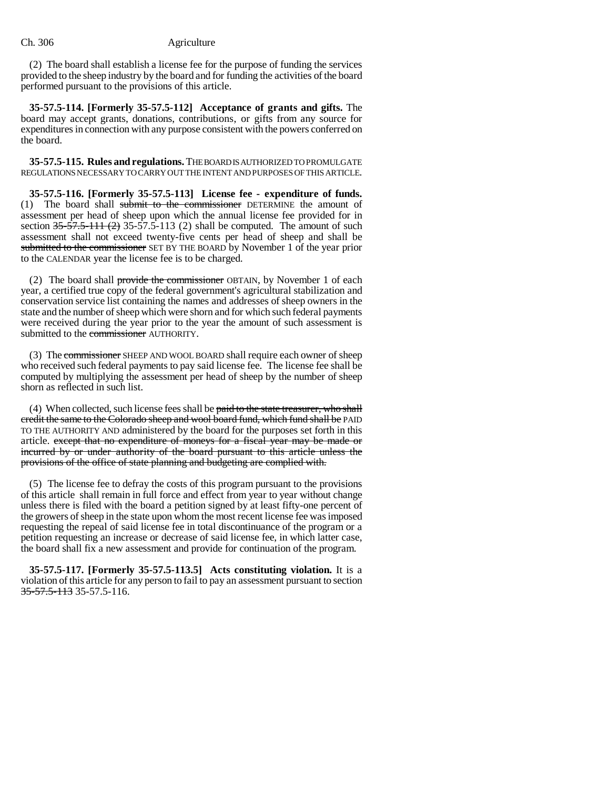(2) The board shall establish a license fee for the purpose of funding the services provided to the sheep industry by the board and for funding the activities of the board performed pursuant to the provisions of this article.

**35-57.5-114. [Formerly 35-57.5-112] Acceptance of grants and gifts.** The board may accept grants, donations, contributions, or gifts from any source for expenditures in connection with any purpose consistent with the powers conferred on the board.

**35-57.5-115. Rules and regulations.** THE BOARD IS AUTHORIZED TO PROMULGATE REGULATIONS NECESSARY TO CARRY OUT THE INTENT AND PURPOSES OF THIS ARTICLE.

**35-57.5-116. [Formerly 35-57.5-113] License fee - expenditure of funds.** (1) The board shall submit to the commissioner DETERMINE the amount of assessment per head of sheep upon which the annual license fee provided for in section  $35-57.5-111(2)$  35-57.5-113 (2) shall be computed. The amount of such assessment shall not exceed twenty-five cents per head of sheep and shall be submitted to the commissioner SET BY THE BOARD by November 1 of the year prior to the CALENDAR year the license fee is to be charged.

(2) The board shall provide the commissioner OBTAIN, by November 1 of each year, a certified true copy of the federal government's agricultural stabilization and conservation service list containing the names and addresses of sheep owners in the state and the number of sheep which were shorn and for which such federal payments were received during the year prior to the year the amount of such assessment is submitted to the commissioner AUTHORITY.

(3) The commissioner SHEEP AND WOOL BOARD shall require each owner of sheep who received such federal payments to pay said license fee. The license fee shall be computed by multiplying the assessment per head of sheep by the number of sheep shorn as reflected in such list.

(4) When collected, such license fees shall be paid to the state treasurer, who shall credit the same to the Colorado sheep and wool board fund, which fund shall be PAID TO THE AUTHORITY AND administered by the board for the purposes set forth in this article. except that no expenditure of moneys for a fiscal year may be made or incurred by or under authority of the board pursuant to this article unless the provisions of the office of state planning and budgeting are complied with.

(5) The license fee to defray the costs of this program pursuant to the provisions of this article shall remain in full force and effect from year to year without change unless there is filed with the board a petition signed by at least fifty-one percent of the growers of sheep in the state upon whom the most recent license fee was imposed requesting the repeal of said license fee in total discontinuance of the program or a petition requesting an increase or decrease of said license fee, in which latter case, the board shall fix a new assessment and provide for continuation of the program.

**35-57.5-117. [Formerly 35-57.5-113.5] Acts constituting violation.** It is a violation of this article for any person to fail to pay an assessment pursuant to section 35-57.5-113 35-57.5-116.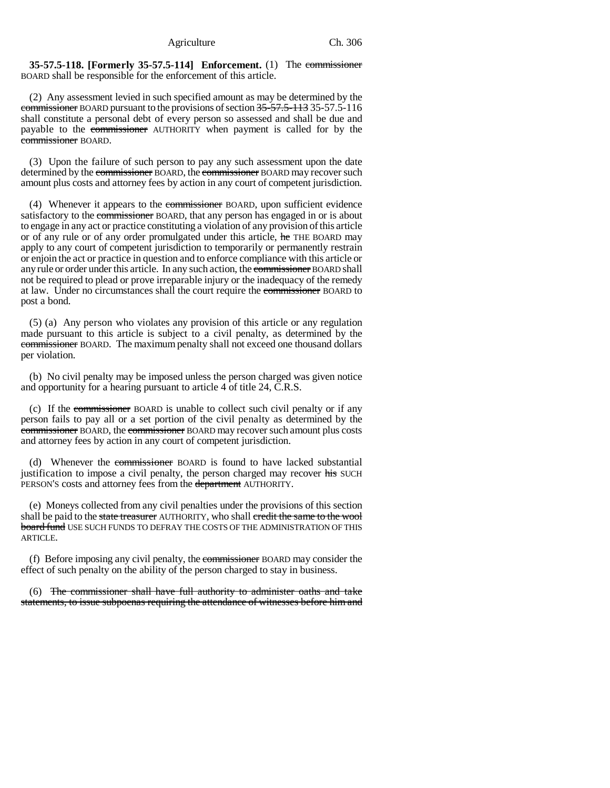**35-57.5-118. [Formerly 35-57.5-114] Enforcement.** (1) The commissioner BOARD shall be responsible for the enforcement of this article.

(2) Any assessment levied in such specified amount as may be determined by the commissioner BOARD pursuant to the provisions of section 35-57.5-113 35-57.5-116 shall constitute a personal debt of every person so assessed and shall be due and payable to the commissioner AUTHORITY when payment is called for by the commissioner BOARD.

(3) Upon the failure of such person to pay any such assessment upon the date determined by the commissioner BOARD, the commissioner BOARD may recover such amount plus costs and attorney fees by action in any court of competent jurisdiction.

(4) Whenever it appears to the commissioner BOARD, upon sufficient evidence satisfactory to the commissioner BOARD, that any person has engaged in or is about to engage in any act or practice constituting a violation of any provision of this article or of any rule or of any order promulgated under this article, he THE BOARD may apply to any court of competent jurisdiction to temporarily or permanently restrain or enjoin the act or practice in question and to enforce compliance with this article or any rule or order under this article. In any such action, the commissioner BOARD shall not be required to plead or prove irreparable injury or the inadequacy of the remedy at law. Under no circumstances shall the court require the commissioner BOARD to post a bond.

(5) (a) Any person who violates any provision of this article or any regulation made pursuant to this article is subject to a civil penalty, as determined by the commissioner BOARD. The maximum penalty shall not exceed one thousand dollars per violation.

(b) No civil penalty may be imposed unless the person charged was given notice and opportunity for a hearing pursuant to article 4 of title 24, C.R.S.

(c) If the commissioner BOARD is unable to collect such civil penalty or if any person fails to pay all or a set portion of the civil penalty as determined by the commissioner BOARD, the commissioner BOARD may recover such amount plus costs and attorney fees by action in any court of competent jurisdiction.

(d) Whenever the commissioner BOARD is found to have lacked substantial justification to impose a civil penalty, the person charged may recover his SUCH PERSON'S costs and attorney fees from the department AUTHORITY.

(e) Moneys collected from any civil penalties under the provisions of this section shall be paid to the state treasurer AUTHORITY, who shall credit the same to the wool board fund USE SUCH FUNDS TO DEFRAY THE COSTS OF THE ADMINISTRATION OF THIS ARTICLE.

(f) Before imposing any civil penalty, the commissioner BOARD may consider the effect of such penalty on the ability of the person charged to stay in business.

(6) The commissioner shall have full authority to administer oaths and take statements, to issue subpoenas requiring the attendance of witnesses before him and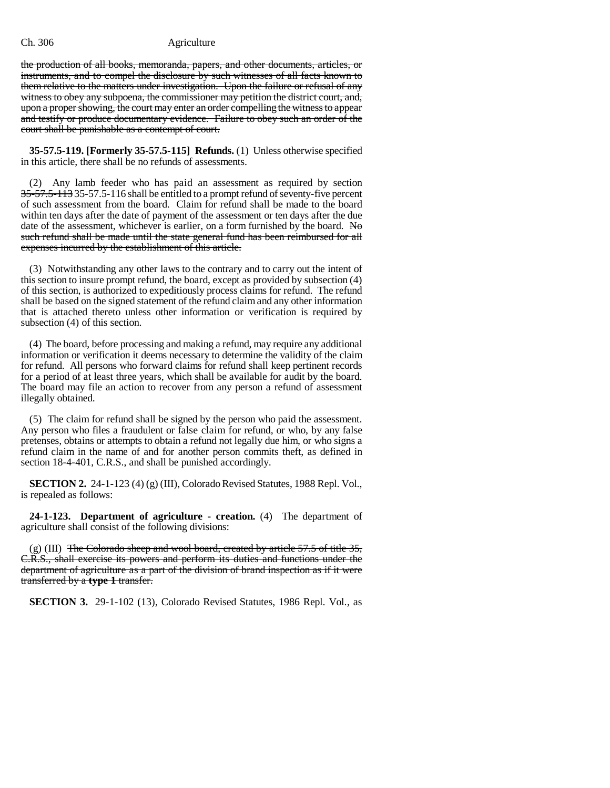the production of all books, memoranda, papers, and other documents, articles, or instruments, and to compel the disclosure by such witnesses of all facts known to them relative to the matters under investigation. Upon the failure or refusal of any witness to obey any subpoena, the commissioner may petition the district court, and, upon a proper showing, the court may enter an order compelling the witness to appear and testify or produce documentary evidence. Failure to obey such an order of the court shall be punishable as a contempt of court.

**35-57.5-119. [Formerly 35-57.5-115] Refunds.** (1) Unless otherwise specified in this article, there shall be no refunds of assessments.

(2) Any lamb feeder who has paid an assessment as required by section 35-57.5-113 35-57.5-116 shall be entitled to a prompt refund of seventy-five percent of such assessment from the board. Claim for refund shall be made to the board within ten days after the date of payment of the assessment or ten days after the due date of the assessment, whichever is earlier, on a form furnished by the board. No such refund shall be made until the state general fund has been reimbursed for all expenses incurred by the establishment of this article.

(3) Notwithstanding any other laws to the contrary and to carry out the intent of this section to insure prompt refund, the board, except as provided by subsection (4) of this section, is authorized to expeditiously process claims for refund. The refund shall be based on the signed statement of the refund claim and any other information that is attached thereto unless other information or verification is required by subsection (4) of this section.

(4) The board, before processing and making a refund, may require any additional information or verification it deems necessary to determine the validity of the claim for refund. All persons who forward claims for refund shall keep pertinent records for a period of at least three years, which shall be available for audit by the board. The board may file an action to recover from any person a refund of assessment illegally obtained.

(5) The claim for refund shall be signed by the person who paid the assessment. Any person who files a fraudulent or false claim for refund, or who, by any false pretenses, obtains or attempts to obtain a refund not legally due him, or who signs a refund claim in the name of and for another person commits theft, as defined in section 18-4-401, C.R.S., and shall be punished accordingly.

**SECTION 2.** 24-1-123 (4) (g) (III), Colorado Revised Statutes, 1988 Repl. Vol., is repealed as follows:

**24-1-123. Department of agriculture - creation.** (4) The department of agriculture shall consist of the following divisions:

 $(g)$  (III) The Colorado sheep and wool board, created by article 57.5 of title 35, C.R.S., shall exercise its powers and perform its duties and functions under the department of agriculture as a part of the division of brand inspection as if it were transferred by a **type 1** transfer.

**SECTION 3.** 29-1-102 (13), Colorado Revised Statutes, 1986 Repl. Vol., as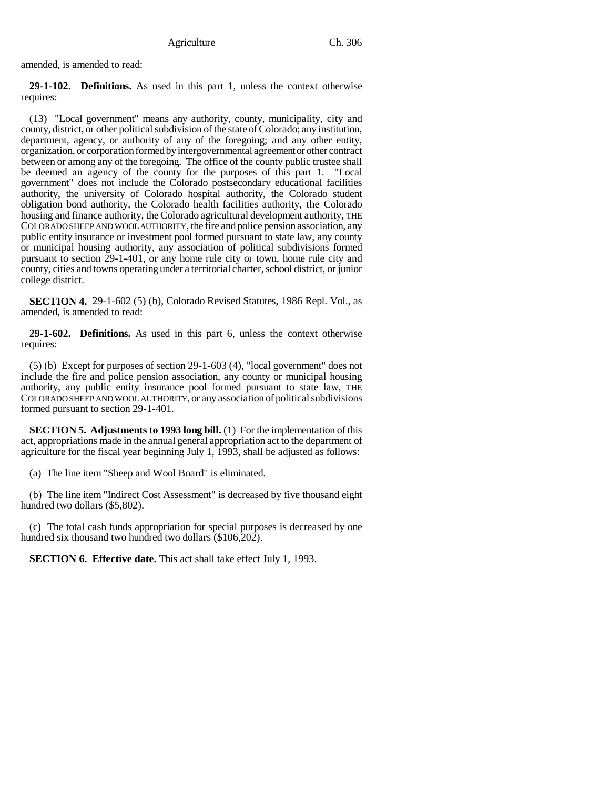amended, is amended to read:

**29-1-102. Definitions.** As used in this part 1, unless the context otherwise requires:

(13) "Local government" means any authority, county, municipality, city and county, district, or other political subdivision of the state of Colorado; any institution, department, agency, or authority of any of the foregoing; and any other entity, organization, or corporation formed by intergovernmental agreement or other contract between or among any of the foregoing. The office of the county public trustee shall be deemed an agency of the county for the purposes of this part 1. "Local government" does not include the Colorado postsecondary educational facilities authority, the university of Colorado hospital authority, the Colorado student obligation bond authority, the Colorado health facilities authority, the Colorado housing and finance authority, the Colorado agricultural development authority, THE COLORADO SHEEP AND WOOL AUTHORITY, the fire and police pension association, any public entity insurance or investment pool formed pursuant to state law, any county or municipal housing authority, any association of political subdivisions formed pursuant to section 29-1-401, or any home rule city or town, home rule city and county, cities and towns operating under a territorial charter, school district, or junior college district.

**SECTION 4.** 29-1-602 (5) (b), Colorado Revised Statutes, 1986 Repl. Vol., as amended, is amended to read:

**29-1-602. Definitions.** As used in this part 6, unless the context otherwise requires:

(5) (b) Except for purposes of section 29-1-603 (4), "local government" does not include the fire and police pension association, any county or municipal housing authority, any public entity insurance pool formed pursuant to state law, THE COLORADO SHEEP AND WOOL AUTHORITY, or any association of political subdivisions formed pursuant to section 29-1-401.

**SECTION 5. Adjustments to 1993 long bill.** (1) For the implementation of this act, appropriations made in the annual general appropriation act to the department of agriculture for the fiscal year beginning July 1, 1993, shall be adjusted as follows:

(a) The line item "Sheep and Wool Board" is eliminated.

(b) The line item "Indirect Cost Assessment" is decreased by five thousand eight hundred two dollars (\$5,802).

(c) The total cash funds appropriation for special purposes is decreased by one hundred six thousand two hundred two dollars (\$106,202).

**SECTION 6. Effective date.** This act shall take effect July 1, 1993.